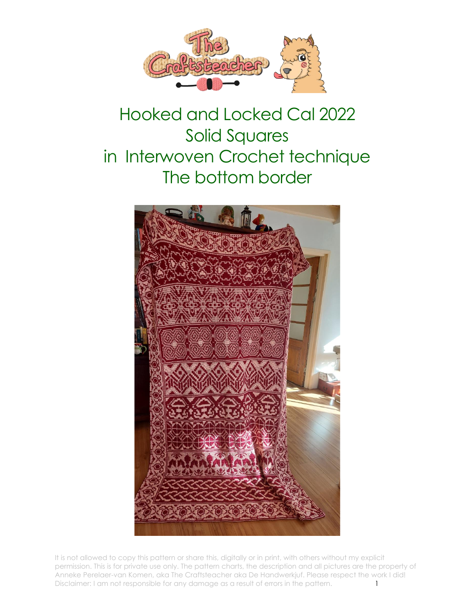

## Hooked and Locked Cal 2022 Solid Squares in Interwoven Crochet technique The bottom border



It is not allowed to copy this pattern or share this, digitally or in print, with others without my explicit permission. This is for private use only. The pattern charts, the description and all pictures are the property of Anneke Perelaer-van Komen, aka The Craftsteacher aka De Handwerkjuf. Please respect the work I did! Disclaimer: I am not responsible for any damage as a result of errors in the pattern.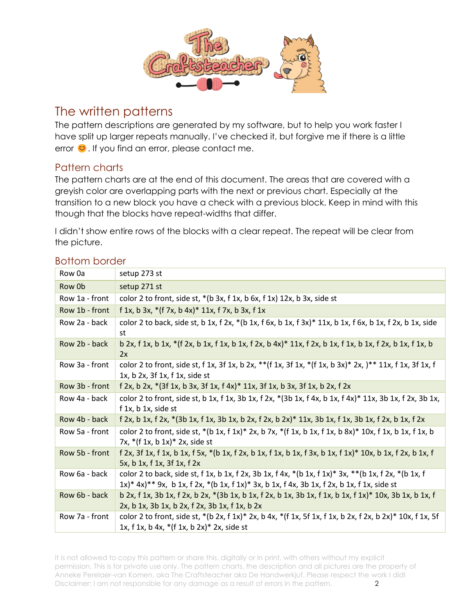

## The written patterns

The pattern descriptions are generated by my software, but to help you work faster I have split up larger repeats manually. I've checked it, but forgive me if there is a little error  $\heartsuit$ . If you find an error, please contact me.

## Pattern charts

The pattern charts are at the end of this document. The areas that are covered with a greyish color are overlapping parts with the next or previous chart. Especially at the transition to a new block you have a check with a previous block. Keep in mind with this though that the blocks have repeat-widths that differ.

I didn't show entire rows of the blocks with a clear repeat. The repeat will be clear from the picture.

| <b>Bottom border</b> |  |
|----------------------|--|
|                      |  |

| Row 0a         | setup 273 st                                                                                                                                                                                                                 |
|----------------|------------------------------------------------------------------------------------------------------------------------------------------------------------------------------------------------------------------------------|
| Row 0b         | setup 271 st                                                                                                                                                                                                                 |
| Row 1a - front | color 2 to front, side st, $*(b \ 3x, f \ 1x, b \ 6x, f \ 1x)$ 12x, b 3x, side st                                                                                                                                            |
| Row 1b - front | f 1x, b 3x, $*(f 7x, b 4x)* 11x, f 7x, b 3x, f 1x)$                                                                                                                                                                          |
| Row 2a - back  | color 2 to back, side st, b 1x, f 2x, *(b 1x, f 6x, b 1x, f 3x)* 11x, b 1x, f 6x, b 1x, f 2x, b 1x, side<br>st                                                                                                               |
| Row 2b - back  | b 2x, f 1x, b 1x, $*(f 2x, b 1x, f 1x, b 1x, f 2x, b 4x)^* 11x, f 2x, b 1x, f 1x, b 1x, f 2x, b 1x, f 1x, b$<br>2x                                                                                                           |
| Row 3a - front | color 2 to front, side st, f 1x, 3f 1x, b 2x, **(f 1x, 3f 1x, *(f 1x, b 3x)* 2x, )** 11x, f 1x, 3f 1x, f<br>$1x$ , b $2x$ , $3f$ $1x$ , $f$ $1x$ , $side$ st                                                                 |
| Row 3b - front | f 2x, b 2x, *(3f 1x, b 3x, 3f 1x, f 4x)* 11x, 3f 1x, b 3x, 3f 1x, b 2x, f 2x                                                                                                                                                 |
| Row 4a - back  | color 2 to front, side st, b 1x, f 1x, 3b 1x, f 2x, $*(3b 1x, f 4x, b 1x, f 4x)^* 11x$ , 3b 1x, f 2x, 3b 1x,<br>$f$ 1x, b 1x, side st                                                                                        |
| Row 4b - back  | f 2x, b 1x, f 2x, *(3b 1x, f 1x, 3b 1x, b 2x, f 2x, b 2x)* 11x, 3b 1x, f 1x, 3b 1x, f 2x, b 1x, f 2x                                                                                                                         |
| Row 5a - front | color 2 to front, side st, *(b 1x, f 1x)* 2x, b 7x, *(f 1x, b 1x, f 1x, b 8x)* 10x, f 1x, b 1x, f 1x, b<br>7x, $*(f 1x, b 1x)* 2x$ , side st                                                                                 |
| Row 5b - front | f 2x, 3f 1x, f 1x, b 1x, f 5x, $*(b \ 1x, f \ 2x, b \ 1x, f \ 1x, b \ 1x, f \ 3x, b \ 1x, f \ 1x)^*$ 10x, b 1x, f 2x, b 1x, f<br>5x, b 1x, f 1x, 3f 1x, f 2x                                                                 |
| Row 6a - back  | color 2 to back, side st, f 1x, b 1x, f 2x, 3b 1x, f 4x, *(b 1x, f 1x)* 3x, **(b 1x, f 2x, *(b 1x, f<br>$1x$ <sup>*</sup> $4x$ <sup>**</sup> 9x, b 1x, f 2x, *(b 1x, f 1x)* 3x, b 1x, f 4x, 3b 1x, f 2x, b 1x, f 1x, side st |
| Row 6b - back  | b 2x, f 1x, 3b 1x, f 2x, b 2x, *(3b 1x, b 1x, f 2x, b 1x, 3b 1x, f 1x, b 1x, f 1x)* 10x, 3b 1x, b 1x, f<br>2x, b 1x, 3b 1x, b 2x, f 2x, 3b 1x, f 1x, b 2x                                                                    |
| Row 7a - front | color 2 to front, side st, $*(b 2x, f 1x)* 2x, b 4x, +(f 1x, 5f 1x, f 1x, b 2x, f 2x, b 2x)* 10x, f 1x, 5f$<br>1x, f 1x, b 4x, $*(f 1x, b 2x)* 2x$ , side st                                                                 |

It is not allowed to copy this pattern or share this, digitally or in print, with others without my explicit permission. This is for private use only. The pattern charts, the description and all pictures are the property of Anneke Perelaer-van Komen, aka The Craftsteacher aka De Handwerkjuf. Please respect the work I did! Disclaimer: I am not responsible for any damage as a result of errors in the pattern. 2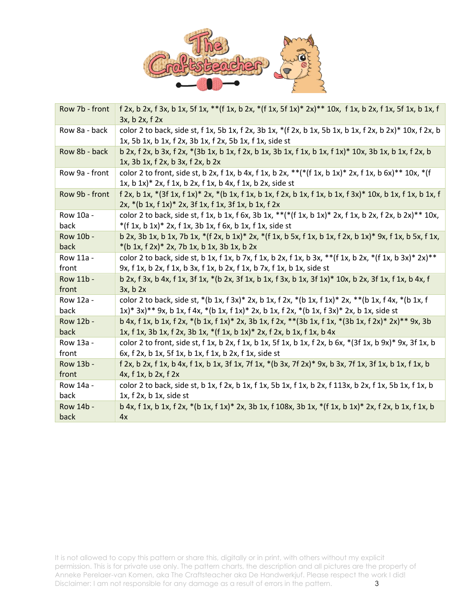

| Row 7b - front | f 2x, b 2x, f 3x, b 1x, 5f 1x, ** (f 1x, b 2x, *(f 1x, 5f 1x)* 2x)** 10x, f 1x, b 2x, f 1x, 5f 1x, b 1x, f<br>$3x, b$ 2x, f 2x                                                                 |
|----------------|------------------------------------------------------------------------------------------------------------------------------------------------------------------------------------------------|
| Row 8a - back  | color 2 to back, side st, f 1x, 5b 1x, f 2x, 3b 1x, *(f 2x, b 1x, 5b 1x, b 1x, f 2x, b 2x)* 10x, f 2x, b<br>1x, 5b 1x, b 1x, f 2x, 3b 1x, f 2x, 5b 1x, f 1x, side st                           |
| Row 8b - back  | b 2x, f 2x, b 3x, f 2x, *(3b 1x, b 1x, f 2x, b 1x, 3b 1x, f 1x, b 1x, f 1x)* 10x, 3b 1x, b 1x, f 2x, b<br>1x, 3b 1x, f 2x, b 3x, f 2x, b 2x                                                    |
| Row 9a - front | color 2 to front, side st, b 2x, f 1x, b 4x, f 1x, b 2x, **(*(f 1x, b 1x)* 2x, f 1x, b 6x)** 10x, *(f<br>$1x$ , b $1x$ )* $2x$ , f $1x$ , b $2x$ , f $1x$ , b $4x$ , f $1x$ , b $2x$ , side st |
| Row 9b - front | f 2x, b 1x, *(3f 1x, f 1x)* 2x, *(b 1x, f 1x, b 1x, f 2x, b 1x, f 1x, b 1x, f 3x)* 10x, b 1x, f 1x, b 1x, f<br>2x, *(b 1x, f 1x)* 2x, 3f 1x, f 1x, 3f 1x, b 1x, f 2x                           |
| Row 10a -      | color 2 to back, side st, f 1x, b 1x, f 6x, 3b 1x, **(*(f 1x, b 1x)* 2x, f 1x, b 2x, f 2x, b 2x)** 10x,                                                                                        |
| back           | $*(f 1x, b 1x)* 2x, f 1x, 3b 1x, f 6x, b 1x, f 1x, side st)$                                                                                                                                   |
| Row 10b -      | b 2x, 3b 1x, b 1x, 7b 1x, $*(f 2x, b 1x)* 2x, * (f 1x, b 5x, f 1x, b 1x, f 2x, b 1x)* 9x, f 1x, b 5x, f 1x,$                                                                                   |
| back           | $*(b 1x, f 2x)* 2x, 7b 1x, b 1x, 3b 1x, b 2x)$                                                                                                                                                 |
| Row 11a -      | color 2 to back, side st, b 1x, f 1x, b 7x, f 1x, b 2x, f 1x, b 3x, ** (f 1x, b 2x, *(f 1x, b 3x)* 2x)**                                                                                       |
| front          | 9x, f 1x, b 2x, f 1x, b 3x, f 1x, b 2x, f 1x, b 7x, f 1x, b 1x, side st                                                                                                                        |
| Row 11b -      | b 2x, f 3x, b 4x, f 1x, 3f 1x, *(b 2x, 3f 1x, b 1x, f 3x, b 1x, 3f 1x)* 10x, b 2x, 3f 1x, f 1x, b 4x, f                                                                                        |
| front          | 3x, b2x                                                                                                                                                                                        |
| Row 12a -      | color 2 to back, side st, *(b 1x, f 3x)* 2x, b 1x, f 2x, *(b 1x, f 1x)* 2x, **(b 1x, f 4x, *(b 1x, f                                                                                           |
| back           | 1x)* 3x)** 9x, b 1x, f 4x, *(b 1x, f 1x)* 2x, b 1x, f 2x, *(b 1x, f 3x)* 2x, b 1x, side st                                                                                                     |
| Row 12b -      | b 4x, f 1x, b 1x, f 2x, *(b 1x, f 1x)* 2x, 3b 1x, f 2x, **(3b 1x, f 1x, *(3b 1x, f 2x)* 2x)** 9x, 3b                                                                                           |
| back           | 1x, f 1x, 3b 1x, f 2x, 3b 1x, *(f 1x, b 1x)* 2x, f 2x, b 1x, f 1x, b 4x                                                                                                                        |
| Row 13a -      | color 2 to front, side st, f 1x, b 2x, f 1x, b 1x, 5f 1x, b 1x, f 2x, b 6x, $*(3f 1x, b 9x)*9x$ , 3f 1x, b                                                                                     |
| front          | 6x, f 2x, b 1x, 5f 1x, b 1x, f 1x, b 2x, f 1x, side st                                                                                                                                         |
| Row 13b -      | f 2x, b 2x, f 1x, b 4x, f 1x, b 1x, 3f 1x, 7f 1x, *(b 3x, 7f 2x)* 9x, b 3x, 7f 1x, 3f 1x, b 1x, f 1x, b                                                                                        |
| front          | 4x, f1x, b2x, f2x                                                                                                                                                                              |
| Row 14a -      | color 2 to back, side st, b 1x, f 2x, b 1x, f 1x, 5b 1x, f 1x, b 2x, f 113x, b 2x, f 1x, 5b 1x, f 1x, b                                                                                        |
| back           | $1x$ , f $2x$ , b $1x$ , side st                                                                                                                                                               |
| Row 14b -      | b 4x, f 1x, b 1x, f 2x, *(b 1x, f 1x)* 2x, 3b 1x, f 108x, 3b 1x, *(f 1x, b 1x)* 2x, f 2x, b 1x, f 1x, b                                                                                        |
| back           | 4x                                                                                                                                                                                             |

It is not allowed to copy this pattern or share this, digitally or in print, with others without my explicit permission. This is for private use only. The pattern charts, the description and all pictures are the property of Anneke Perelaer-van Komen, aka The Craftsteacher aka De Handwerkjuf. Please respect the work I did! Disclaimer: I am not responsible for any damage as a result of errors in the pattern.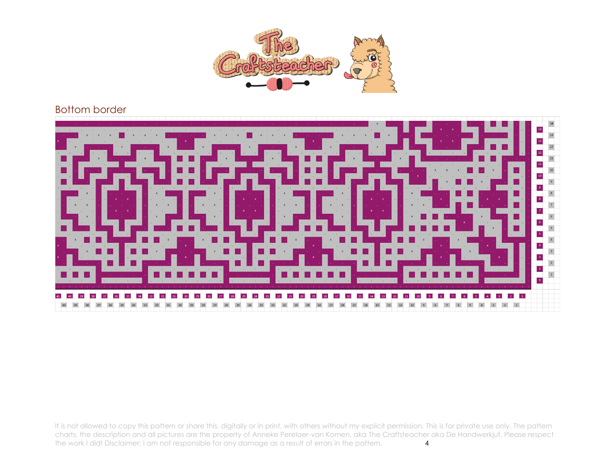

## Bottom border



It is not allowed to copy this pattern or share this, digitally or in print, with others without my explicit permission. This is for private use only. The pattern charts, the description and all pictures are the property of Anneke Perelaer-van Komen, aka The Craftsteacher aka De Handwerkjuf. Please respect the work I did! Disclaimer: I am not responsible for any damage as a result o the work I did! Disclaimer: I am not responsible for any damage as a result of errors in the pattern. 4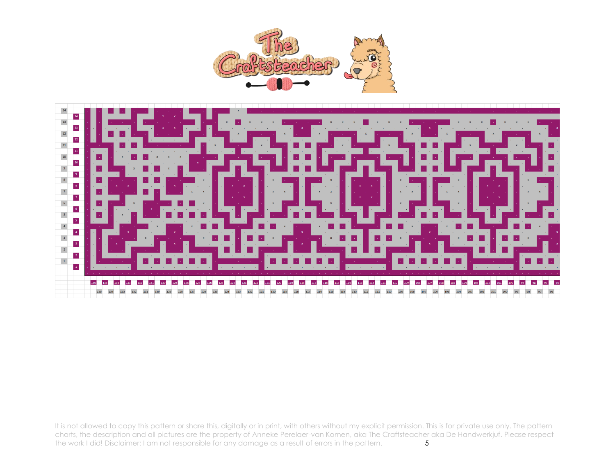



It is not allowed to copy this pattern or share this, digitally or in print, with others without my explicit permission. This is for private use only. The pattern charts, the description and all pictures are the property of Anneke Perelaer-van Komen, aka The Craftsteacher aka De Handwerkjuf. Please respect<br>the work I did! Disclaimer: I am not responsible for any damage as a result o the work I did! Disclaimer: I am not responsible for any damage as a result of errors in the pattern.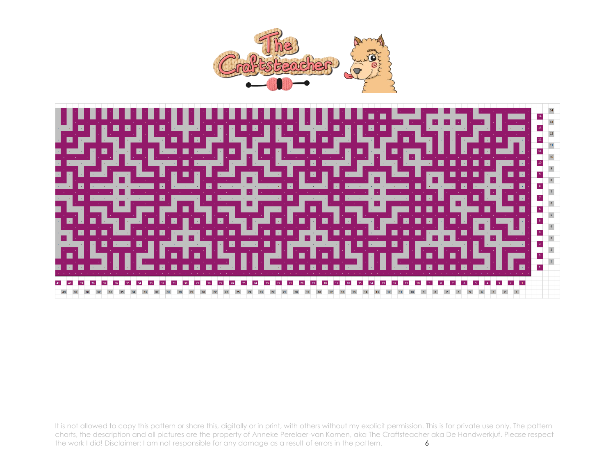



It is not allowed to copy this pattern or share this, digitally or in print, with others without my explicit permission. This is for private use only. The pattern charts, the description and all pictures are the property of Anneke Perelaer-van Komen, aka The Craftsteacher aka De Handwerkjuf. Please respect the work I did! Disclaimer: I am not responsible for any damage as a result o the work I did! Disclaimer: I am not responsible for any damage as a result of errors in the pattern.